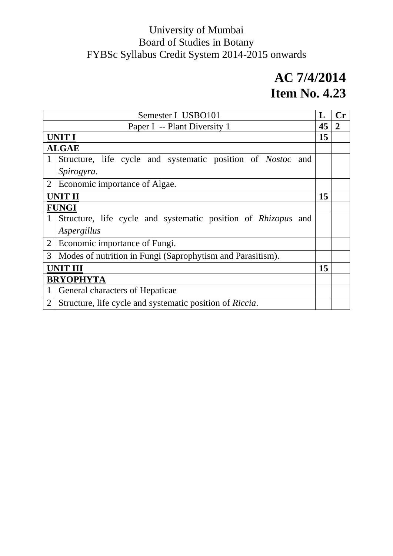| Semester I USBO101                                              |                                                                    |    | $\mathbf{C}\mathbf{r}$ |
|-----------------------------------------------------------------|--------------------------------------------------------------------|----|------------------------|
|                                                                 | Paper I -- Plant Diversity 1                                       | 45 | $\overline{2}$         |
|                                                                 | <b>UNIT I</b>                                                      | 15 |                        |
|                                                                 | <b>ALGAE</b>                                                       |    |                        |
| 1                                                               | Structure, life cycle and systematic position of <i>Nostoc</i> and |    |                        |
|                                                                 | Spirogyra.                                                         |    |                        |
| 2                                                               | Economic importance of Algae.                                      |    |                        |
|                                                                 | <b>UNIT II</b>                                                     | 15 |                        |
|                                                                 | <b>FUNGI</b>                                                       |    |                        |
|                                                                 | Structure, life cycle and systematic position of Rhizopus and      |    |                        |
|                                                                 | Aspergillus                                                        |    |                        |
| $\overline{2}$                                                  | Economic importance of Fungi.                                      |    |                        |
| 3<br>Modes of nutrition in Fungi (Saprophytism and Parasitism). |                                                                    |    |                        |
| <b>UNIT III</b>                                                 |                                                                    | 15 |                        |
|                                                                 | <b>BRYOPHYTA</b>                                                   |    |                        |
| 1                                                               | General characters of Hepaticae                                    |    |                        |
| $\overline{2}$                                                  | Structure, life cycle and systematic position of Riccia.           |    |                        |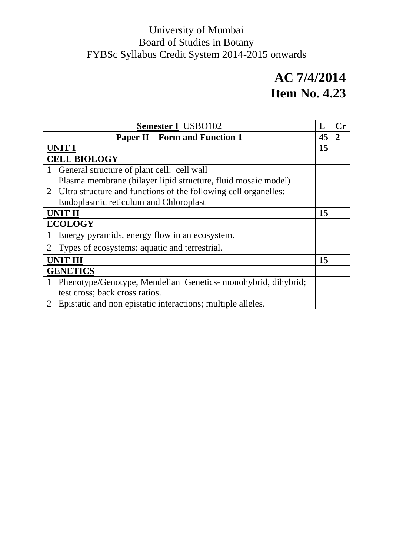| <b>Semester I</b> USBO102 |                                                                 |    |  |
|---------------------------|-----------------------------------------------------------------|----|--|
|                           | <b>Paper II – Form and Function 1</b>                           |    |  |
|                           | <b>UNIT I</b>                                                   |    |  |
|                           | <b>CELL BIOLOGY</b>                                             |    |  |
| 1                         | General structure of plant cell: cell wall                      |    |  |
|                           | Plasma membrane (bilayer lipid structure, fluid mosaic model)   |    |  |
| 2                         | Ultra structure and functions of the following cell organelles: |    |  |
|                           | Endoplasmic reticulum and Chloroplast                           |    |  |
|                           | UNIT II                                                         | 15 |  |
|                           | <b>ECOLOGY</b>                                                  |    |  |
| 1                         | Energy pyramids, energy flow in an ecosystem.                   |    |  |
| $\overline{2}$            | Types of ecosystems: aquatic and terrestrial.                   |    |  |
|                           | UNIT III                                                        | 15 |  |
|                           | <b>GENETICS</b>                                                 |    |  |
| $\mathbf{1}$              | Phenotype/Genotype, Mendelian Genetics- monohybrid, dihybrid;   |    |  |
|                           | test cross; back cross ratios.                                  |    |  |
| 2                         | Epistatic and non epistatic interactions; multiple alleles.     |    |  |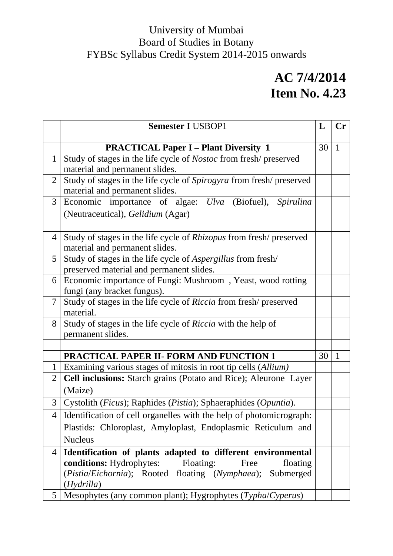|                | <b>Semester I USBOP1</b>                                                                        | L  | $\mathbf{C}$ r |  |
|----------------|-------------------------------------------------------------------------------------------------|----|----------------|--|
|                | <b>PRACTICAL Paper I – Plant Diversity 1</b>                                                    | 30 | $\mathbf{1}$   |  |
| $\mathbf{1}$   | Study of stages in the life cycle of Nostoc from fresh/preserved                                |    |                |  |
|                | material and permanent slides.                                                                  |    |                |  |
| $\overline{2}$ | Study of stages in the life cycle of Spirogyra from fresh/preserved                             |    |                |  |
|                | material and permanent slides.                                                                  |    |                |  |
| 3              | Economic importance of algae: Ulva (Biofuel), Spirulina                                         |    |                |  |
|                | (Neutraceutical), Gelidium (Agar)                                                               |    |                |  |
|                |                                                                                                 |    |                |  |
| $\overline{4}$ | Study of stages in the life cycle of <i>Rhizopus</i> from fresh/preserved                       |    |                |  |
|                | material and permanent slides.                                                                  |    |                |  |
| 5              | Study of stages in the life cycle of <i>Aspergillus</i> from fresh/                             |    |                |  |
|                | preserved material and permanent slides.                                                        |    |                |  |
|                | Economic importance of Fungi: Mushroom, Yeast, wood rotting<br>6<br>fungi (any bracket fungus). |    |                |  |
| 7              | Study of stages in the life cycle of Riccia from fresh/preserved                                |    |                |  |
|                | material.                                                                                       |    |                |  |
| 8              | Study of stages in the life cycle of Riccia with the help of                                    |    |                |  |
|                | permanent slides.                                                                               |    |                |  |
|                |                                                                                                 |    |                |  |
|                | PRACTICAL PAPER II- FORM AND FUNCTION 1                                                         | 30 | $\mathbf{1}$   |  |
| 1              | Examining various stages of mitosis in root tip cells (Allium)                                  |    |                |  |
| 2              | Cell inclusions: Starch grains (Potato and Rice); Aleurone Layer                                |    |                |  |
|                | (Maize)                                                                                         |    |                |  |
| 3              | Cystolith (Ficus); Raphides (Pistia); Sphaeraphides (Opuntia).                                  |    |                |  |
|                | 4   Identification of cell organelles with the help of photomicrograph:                         |    |                |  |
|                | Plastids: Chloroplast, Amyloplast, Endoplasmic Reticulum and                                    |    |                |  |
|                | <b>Nucleus</b>                                                                                  |    |                |  |
| $\overline{4}$ | Identification of plants adapted to different environmental                                     |    |                |  |
|                | <b>conditions:</b> Hydrophytes: Floating:<br>floating<br>Free                                   |    |                |  |
|                | (Pistia/Eichornia); Rooted floating (Nymphaea); Submerged                                       |    |                |  |
|                | (Hydrilla)                                                                                      |    |                |  |
| 5              | Mesophytes (any common plant); Hygrophytes (Typha/Cyperus)                                      |    |                |  |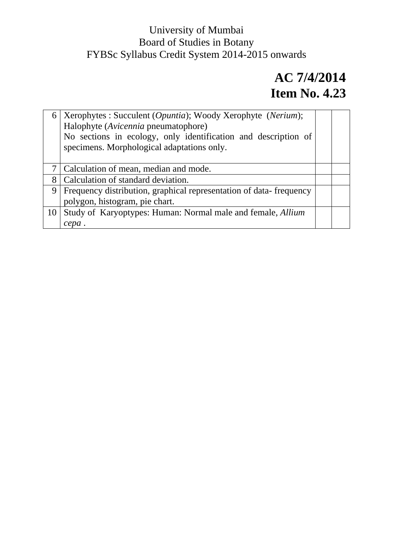| 6  | Xerophytes : Succulent ( <i>Opuntia</i> ); Woody Xerophyte ( <i>Nerium</i> );<br>Halophyte (Avicennia pneumatophore)<br>No sections in ecology, only identification and description of<br>specimens. Morphological adaptations only. |  |
|----|--------------------------------------------------------------------------------------------------------------------------------------------------------------------------------------------------------------------------------------|--|
|    | Calculation of mean, median and mode.                                                                                                                                                                                                |  |
| 8  | Calculation of standard deviation.                                                                                                                                                                                                   |  |
| 9  | Frequency distribution, graphical representation of data-frequency                                                                                                                                                                   |  |
|    | polygon, histogram, pie chart.                                                                                                                                                                                                       |  |
| 10 | Study of Karyoptypes: Human: Normal male and female, Allium                                                                                                                                                                          |  |
|    | cepa                                                                                                                                                                                                                                 |  |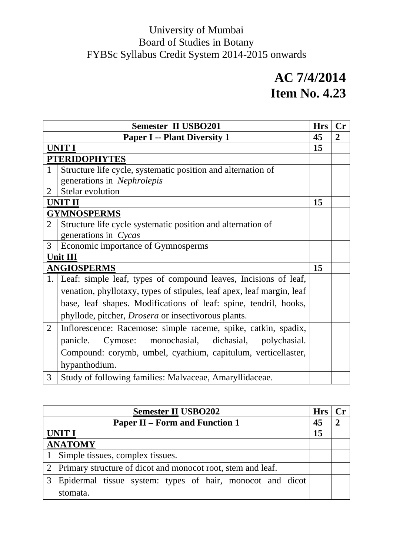|                                     | <b>Semester II USBO201</b>                                            | <b>Hrs</b> | $C_{r}$ |
|-------------------------------------|-----------------------------------------------------------------------|------------|---------|
| <b>Paper I -- Plant Diversity 1</b> |                                                                       |            | 2       |
|                                     | <b>UNIT I</b>                                                         | 15         |         |
|                                     | <b>PTERIDOPHYTES</b>                                                  |            |         |
| $\mathbf{1}$                        | Structure life cycle, systematic position and alternation of          |            |         |
|                                     | generations in Nephrolepis                                            |            |         |
| $\mathfrak{D}$                      | Stelar evolution                                                      |            |         |
|                                     | UNIT II                                                               | 15         |         |
|                                     | <b>GYMNOSPERMS</b>                                                    |            |         |
| $\overline{2}$                      | Structure life cycle systematic position and alternation of           |            |         |
|                                     | generations in Cycas                                                  |            |         |
| 3                                   | Economic importance of Gymnosperms                                    |            |         |
|                                     | <b>Unit III</b>                                                       |            |         |
|                                     | <b>ANGIOSPERMS</b>                                                    | 15         |         |
|                                     | 1. Leaf: simple leaf, types of compound leaves, Incisions of leaf,    |            |         |
|                                     | venation, phyllotaxy, types of stipules, leaf apex, leaf margin, leaf |            |         |
|                                     | base, leaf shapes. Modifications of leaf: spine, tendril, hooks,      |            |         |
|                                     | phyllode, pitcher, <i>Drosera</i> or insectivorous plants.            |            |         |
| 2                                   | Inflorescence: Racemose: simple raceme, spike, catkin, spadix,        |            |         |
|                                     | Cymose: monochasial, dichasial, polychasial.<br>panicle.              |            |         |
|                                     | Compound: corymb, umbel, cyathium, capitulum, verticellaster,         |            |         |
|                                     | hypanthodium.                                                         |            |         |
| 3                                   | Study of following families: Malvaceae, Amaryllidaceae.               |            |         |

| <b>Semester II USBO202</b>                                                 |                                                                 |  |  |
|----------------------------------------------------------------------------|-----------------------------------------------------------------|--|--|
| <b>Paper II – Form and Function 1</b>                                      |                                                                 |  |  |
| <b>UNIT I</b>                                                              |                                                                 |  |  |
|                                                                            | <b>ANATOMY</b>                                                  |  |  |
|                                                                            | 1   Simple tissues, complex tissues.                            |  |  |
|                                                                            | 2   Primary structure of dicot and monocot root, stem and leaf. |  |  |
| Epidermal tissue system: types of hair, monocot and dicot<br>3<br>stomata. |                                                                 |  |  |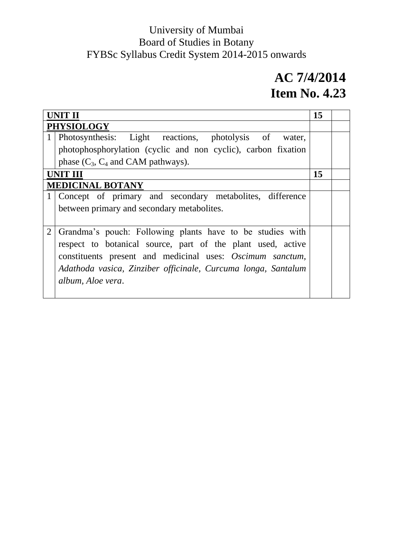| <b>PHYSIOLOGY</b>                                                           |        |  |  |
|-----------------------------------------------------------------------------|--------|--|--|
| Photosynthesis: Light reactions, photolysis of                              | water, |  |  |
| photophosphorylation (cyclic and non cyclic), carbon fixation               |        |  |  |
| phase $(C_3, C_4$ and CAM pathways).                                        |        |  |  |
| <b>UNIT III</b>                                                             | 15     |  |  |
| <b>MEDICINAL BOTANY</b>                                                     |        |  |  |
| Concept of primary and secondary metabolites, difference                    |        |  |  |
| between primary and secondary metabolites.                                  |        |  |  |
|                                                                             |        |  |  |
| $\overline{2}$<br>Grandma's pouch: Following plants have to be studies with |        |  |  |
| respect to botanical source, part of the plant used, active                 |        |  |  |
| constituents present and medicinal uses: Oscimum sanctum,                   |        |  |  |
| Adathoda vasica, Zinziber officinale, Curcuma longa, Santalum               |        |  |  |
| album, Aloe vera.                                                           |        |  |  |
|                                                                             |        |  |  |
|                                                                             |        |  |  |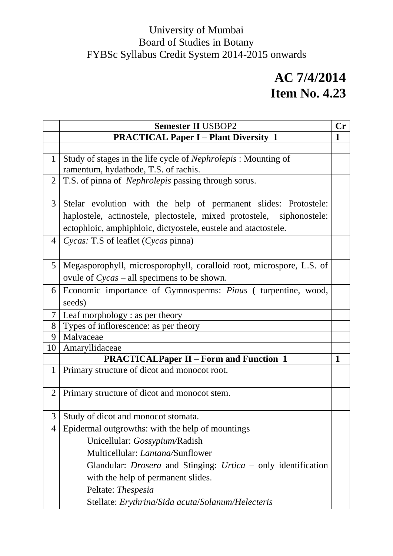|                | <b>Semester II USBOP2</b>                                                   | Cr           |
|----------------|-----------------------------------------------------------------------------|--------------|
|                | <b>PRACTICAL Paper I – Plant Diversity 1</b>                                | $\mathbf{1}$ |
|                |                                                                             |              |
| $\mathbf{1}$   | Study of stages in the life cycle of <i>Nephrolepis</i> : Mounting of       |              |
|                | ramentum, hydathode, T.S. of rachis.                                        |              |
| $\overline{2}$ | T.S. of pinna of <i>Nephrolepis</i> passing through sorus.                  |              |
| 3              | Stelar evolution with the help of permanent slides: Protostele:             |              |
|                | haplostele, actinostele, plectostele, mixed protostele, siphonostele:       |              |
|                | ectophloic, amphiphloic, dictyostele, eustele and atactostele.              |              |
| $\overline{4}$ | Cycas: T.S of leaflet (Cycas pinna)                                         |              |
|                |                                                                             |              |
| 5              | Megasporophyll, microsporophyll, coralloid root, microspore, L.S. of        |              |
|                | ovule of $Cycas - all$ specimens to be shown.                               |              |
| 6              | Economic importance of Gymnosperms: <i>Pinus</i> ( turpentine, wood,        |              |
|                | seeds)                                                                      |              |
| 7              | Leaf morphology : as per theory                                             |              |
| 8              | Types of inflorescence: as per theory                                       |              |
| 9              | Malvaceae                                                                   |              |
| 10             | Amaryllidaceae                                                              |              |
|                | <b>PRACTICALPaper II – Form and Function 1</b>                              | 1            |
| $\mathbf{1}$   | Primary structure of dicot and monocot root.                                |              |
|                |                                                                             |              |
| $\overline{2}$ | Primary structure of dicot and monocot stem.                                |              |
|                | 3 Study of dicot and monocot stomata.                                       |              |
| 4              | Epidermal outgrowths: with the help of mountings                            |              |
|                | Unicellular: Gossypium/Radish                                               |              |
|                | Multicellular: <i>Lantana</i> /Sunflower                                    |              |
|                |                                                                             |              |
|                | Glandular: <i>Drosera</i> and Stinging: <i>Urtica</i> – only identification |              |
|                | with the help of permanent slides.                                          |              |
|                | Peltate: Thespesia                                                          |              |
|                | Stellate: Erythrina/Sida acuta/Solanum/Helecteris                           |              |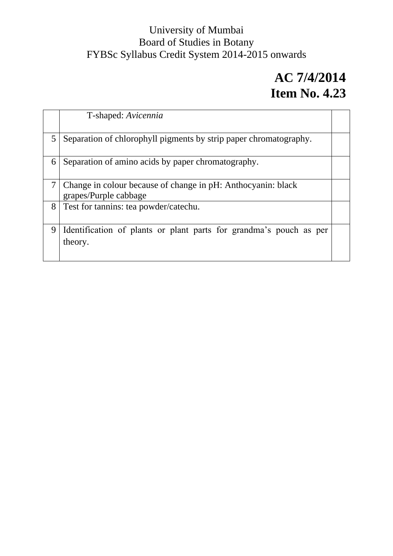|   | T-shaped: Avicennia                                                                   |  |  |  |
|---|---------------------------------------------------------------------------------------|--|--|--|
| 5 | Separation of chlorophyll pigments by strip paper chromatography.                     |  |  |  |
| 6 | Separation of amino acids by paper chromatography.                                    |  |  |  |
| 7 | Change in colour because of change in pH: Anthocyanin: black<br>grapes/Purple cabbage |  |  |  |
| 8 | Test for tannins: tea powder/catechu.                                                 |  |  |  |
| 9 | Identification of plants or plant parts for grandma's pouch as per<br>theory.         |  |  |  |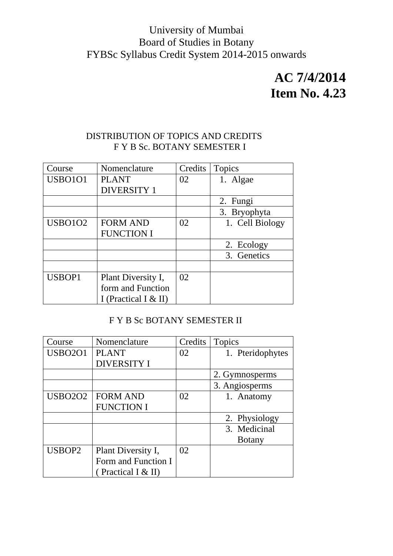### **AC 7/4/2014 Item No. 4.23**

#### DISTRIBUTION OF TOPICS AND CREDITS F Y B Sc. BOTANY SEMESTER I

| Course         | Nomenclature         | Credits | <b>Topics</b>   |
|----------------|----------------------|---------|-----------------|
| <b>USBO101</b> | <b>PLANT</b>         | 02      | 1. Algae        |
|                | <b>DIVERSITY 1</b>   |         |                 |
|                |                      |         | 2. Fungi        |
|                |                      |         | 3. Bryophyta    |
| <b>USBO102</b> | <b>FORM AND</b>      | 02      | 1. Cell Biology |
|                | <b>FUNCTION I</b>    |         |                 |
|                |                      |         | 2. Ecology      |
|                |                      |         | 3. Genetics     |
|                |                      |         |                 |
| USBOP1         | Plant Diversity I,   | 02      |                 |
|                | form and Function    |         |                 |
|                | I (Practical I & II) |         |                 |

#### F Y B Sc BOTANY SEMESTER II

| Course         | Nomenclature        | Credits | <b>Topics</b>    |
|----------------|---------------------|---------|------------------|
| <b>USBO201</b> | <b>PLANT</b>        | 02      | 1. Pteridophytes |
|                | <b>DIVERSITY I</b>  |         |                  |
|                |                     |         | 2. Gymnosperms   |
|                |                     |         | 3. Angiosperms   |
| <b>USBO2O2</b> | <b>FORM AND</b>     | 02      | 1. Anatomy       |
|                | <b>FUNCTION I</b>   |         |                  |
|                |                     |         | 2. Physiology    |
|                |                     |         | 3. Medicinal     |
|                |                     |         | <b>B</b> otany   |
| USBOP2         | Plant Diversity I,  | 02      |                  |
|                | Form and Function I |         |                  |
|                | (Practical I & II)  |         |                  |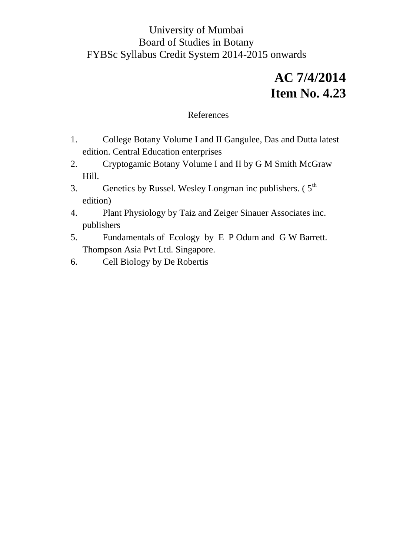### **AC 7/4/2014 Item No. 4.23**

#### References

- 1. College Botany Volume I and II Gangulee, Das and Dutta latest edition. Central Education enterprises
- 2. Cryptogamic Botany Volume I and II by G M Smith McGraw Hill.
- 3. Genetics by Russel. Wesley Longman inc publishers.  $(5<sup>th</sup>$ edition)
- 4. Plant Physiology by Taiz and Zeiger Sinauer Associates inc. publishers
- 5. Fundamentals of Ecology by E P Odum and G W Barrett. Thompson Asia Pvt Ltd. Singapore.
- 6. Cell Biology by De Robertis